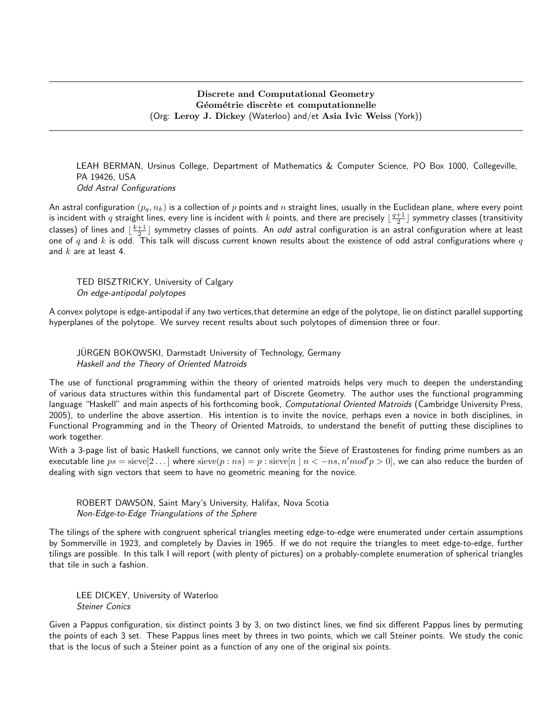LEAH BERMAN, Ursinus College, Department of Mathematics & Computer Science, PO Box 1000, Collegeville, PA 19426, USA Odd Astral Configurations

An astral configuration  $(p_q, n_k)$  is a collection of p points and n straight lines, usually in the Euclidean plane, where every point is incident with  $q$  straight lines, every line is incident with  $k$  points, and there are precisely  $\lfloor\frac{q+1}{2}\rfloor$  symmetry classes (transitivity classes) of lines and  $\lfloor\frac{k+1}{2}\rfloor$  symmetry classes of points. An *odd* astral configuration is an astral configuration where at least one of q and k is odd. This talk will discuss current known results about the existence of odd astral configurations where q and  $k$  are at least 4.

TED BISZTRICKY, University of Calgary On edge-antipodal polytopes

A convex polytope is edge-antipodal if any two vertices,that determine an edge of the polytope, lie on distinct parallel supporting hyperplanes of the polytope. We survey recent results about such polytopes of dimension three or four.

JURGEN BOKOWSKI, Darmstadt University of Technology, Germany Haskell and the Theory of Oriented Matroids

The use of functional programming within the theory of oriented matroids helps very much to deepen the understanding of various data structures within this fundamental part of Discrete Geometry. The author uses the functional programming language "Haskell" and main aspects of his forthcoming book, Computational Oriented Matroids (Cambridge University Press, 2005), to underline the above assertion. His intention is to invite the novice, perhaps even a novice in both disciplines, in Functional Programming and in the Theory of Oriented Matroids, to understand the benefit of putting these disciplines to work together.

With a 3-page list of basic Haskell functions, we cannot only write the Sieve of Erastostenes for finding prime numbers as an executable line  $ps = \text{sieve}[2...]$  where  $\text{sieve}(p:ns) = p: \text{sieve}[n \mid n < -ns, n'mod'p > 0]$ , we can also reduce the burden of dealing with sign vectors that seem to have no geometric meaning for the novice.

ROBERT DAWSON, Saint Mary's University, Halifax, Nova Scotia Non-Edge-to-Edge Triangulations of the Sphere

The tilings of the sphere with congruent spherical triangles meeting edge-to-edge were enumerated under certain assumptions by Sommerville in 1923, and completely by Davies in 1965. If we do not require the triangles to meet edge-to-edge, further tilings are possible. In this talk I will report (with plenty of pictures) on a probably-complete enumeration of spherical triangles that tile in such a fashion.

LEE DICKEY, University of Waterloo Steiner Conics

Given a Pappus configuration, six distinct points 3 by 3, on two distinct lines, we find six different Pappus lines by permuting the points of each 3 set. These Pappus lines meet by threes in two points, which we call Steiner points. We study the conic that is the locus of such a Steiner point as a function of any one of the original six points.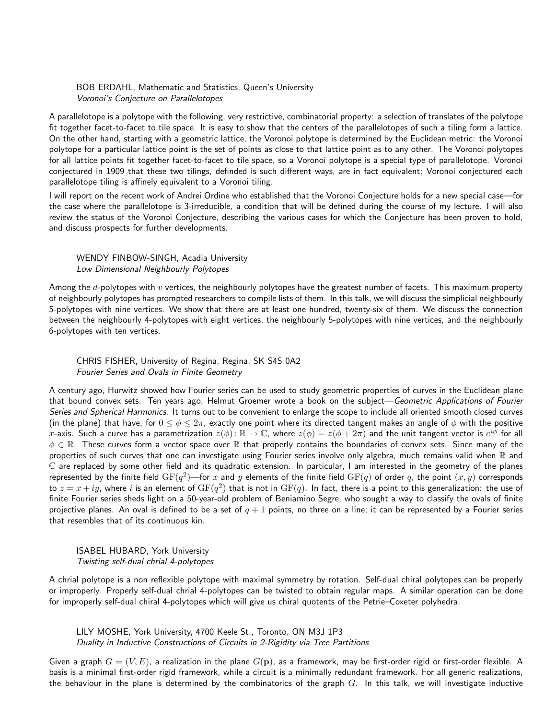BOB ERDAHL, Mathematic and Statistics, Queen's University Voronoi's Conjecture on Parallelotopes

A parallelotope is a polytope with the following, very restrictive, combinatorial property: a selection of translates of the polytope fit together facet-to-facet to tile space. It is easy to show that the centers of the parallelotopes of such a tiling form a lattice. On the other hand, starting with a geometric lattice, the Voronoi polytope is determined by the Euclidean metric: the Voronoi polytope for a particular lattice point is the set of points as close to that lattice point as to any other. The Voronoi polytopes for all lattice points fit together facet-to-facet to tile space, so a Voronoi polytope is a special type of parallelotope. Voronoi conjectured in 1909 that these two tilings, definded is such different ways, are in fact equivalent; Voronoi conjectured each parallelotope tiling is affinely equivalent to a Voronoi tiling.

I will report on the recent work of Andrei Ordine who established that the Voronoi Conjecture holds for a new special case—for the case where the parallelotope is 3-irreducible, a condition that will be defined during the course of my lecture. I will also review the status of the Voronoi Conjecture, describing the various cases for which the Conjecture has been proven to hold, and discuss prospects for further developments.

WENDY FINBOW-SINGH, Acadia University Low Dimensional Neighbourly Polytopes

Among the d-polytopes with v vertices, the neighbourly polytopes have the greatest number of facets. This maximum property of neighbourly polytopes has prompted researchers to compile lists of them. In this talk, we will discuss the simplicial neighbourly 5-polytopes with nine vertices. We show that there are at least one hundred, twenty-six of them. We discuss the connection between the neighbourly 4-polytopes with eight vertices, the neighbourly 5-polytopes with nine vertices, and the neighbourly 6-polytopes with ten vertices.

CHRIS FISHER, University of Regina, Regina, SK S4S 0A2 Fourier Series and Ovals in Finite Geometry

A century ago, Hurwitz showed how Fourier series can be used to study geometric properties of curves in the Euclidean plane that bound convex sets. Ten years ago, Helmut Groemer wrote a book on the subject-Geometric Applications of Fourier Series and Spherical Harmonics. It turns out to be convenient to enlarge the scope to include all oriented smooth closed curves (in the plane) that have, for  $0 \le \phi \le 2\pi$ , exactly one point where its directed tangent makes an angle of  $\phi$  with the positive  $\hat{x}$ -axis. Such a curve has a parametrization  $z(\phi) \colon \R \to \mathbb{C}$ , where  $z(\phi) = z(\phi + 2\pi)$  and the unit tangent vector is  $e^{i\phi}$  for all  $\phi \in \mathbb{R}$ . These curves form a vector space over  $\mathbb R$  that properly contains the boundaries of convex sets. Since many of the properties of such curves that one can investigate using Fourier series involve only algebra, much remains valid when  $\mathbb R$  and  $\mathbb C$  are replaced by some other field and its quadratic extension. In particular, I am interested in the geometry of the planes represented by the finite field  $\mathrm{GF}(q^2)$ —for  $x$  and  $y$  elements of the finite field  $\mathrm{GF}(q)$  of order  $q$ , the point  $(x,y)$  corresponds to  $z=x+iy$ , where  $i$  is an element of  ${\rm GF}(q^2)$  that is not in  ${\rm GF}(q)$ . In fact, there is a point to this generalization: the use of finite Fourier series sheds light on a 50-year-old problem of Beniamino Segre, who sought a way to classify the ovals of finite projective planes. An oval is defined to be a set of  $q + 1$  points, no three on a line; it can be represented by a Fourier series that resembles that of its continuous kin.

ISABEL HUBARD, York University Twisting self-dual chrial 4-polytopes

A chrial polytope is a non reflexible polytope with maximal symmetry by rotation. Self-dual chiral polytopes can be properly or improperly. Properly self-dual chrial 4-polytopes can be twisted to obtain regular maps. A similar operation can be done for improperly self-dual chiral 4-polytopes which will give us chiral quotents of the Petrie–Coxeter polyhedra.

LILY MOSHE, York University, 4700 Keele St., Toronto, ON M3J 1P3 Duality in Inductive Constructions of Circuits in 2-Rigidity via Tree Partitions

Given a graph  $G = (V, E)$ , a realization in the plane  $G(\mathbf{p})$ , as a framework, may be first-order rigid or first-order flexible. A basis is a minimal first-order rigid framework, while a circuit is a minimally redundant framework. For all generic realizations, the behaviour in the plane is determined by the combinatorics of the graph  $G$ . In this talk, we will investigate inductive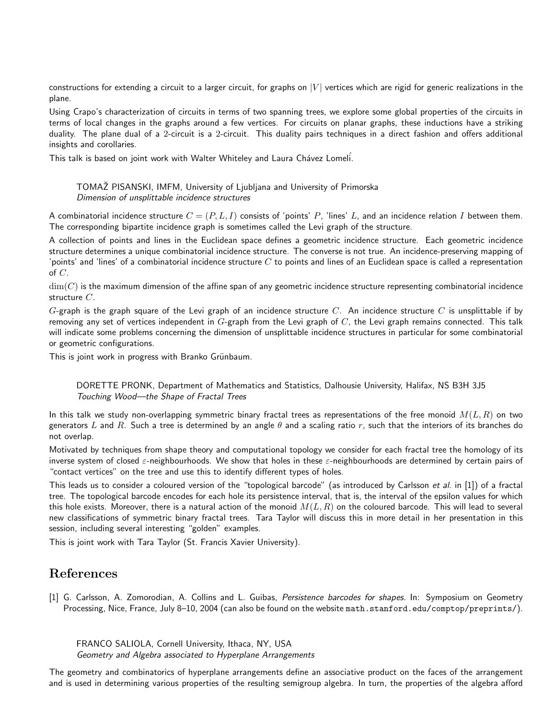constructions for extending a circuit to a larger circuit, for graphs on  $|V|$  vertices which are rigid for generic realizations in the plane.

Using Crapo's characterization of circuits in terms of two spanning trees, we explore some global properties of the circuits in terms of local changes in the graphs around a few vertices. For circuits on planar graphs, these inductions have a striking duality. The plane dual of a 2-circuit is a 2-circuit. This duality pairs techniques in a direct fashion and offers additional insights and corollaries.

This talk is based on joint work with Walter Whiteley and Laura Chávez Lomeli.

# TOMAZ PISANSKI, IMFM, University of Ljubljana and University of Primorska ˇ Dimension of unsplittable incidence structures

A combinatorial incidence structure  $C = (P, L, I)$  consists of 'points' P, 'lines' L, and an incidence relation I between them. The corresponding bipartite incidence graph is sometimes called the Levi graph of the structure.

A collection of points and lines in the Euclidean space defines a geometric incidence structure. Each geometric incidence structure determines a unique combinatorial incidence structure. The converse is not true. An incidence-preserving mapping of 'points' and 'lines' of a combinatorial incidence structure  $C$  to points and lines of an Euclidean space is called a representation of  $C$ .

 $\dim(C)$  is the maximum dimension of the affine span of any geometric incidence structure representing combinatorial incidence structure C.

G-graph is the graph square of the Levi graph of an incidence structure C. An incidence structure C is unsplittable if by removing any set of vertices independent in  $G$ -graph from the Levi graph of  $C$ , the Levi graph remains connected. This talk will indicate some problems concerning the dimension of unsplittable incidence structures in particular for some combinatorial or geometric configurations.

This is joint work in progress with Branko Grünbaum.

DORETTE PRONK, Department of Mathematics and Statistics, Dalhousie University, Halifax, NS B3H 3J5 Touching Wood—the Shape of Fractal Trees

In this talk we study non-overlapping symmetric binary fractal trees as representations of the free monoid  $M(L, R)$  on two generators L and R. Such a tree is determined by an angle  $\theta$  and a scaling ratio r, such that the interiors of its branches do not overlap.

Motivated by techniques from shape theory and computational topology we consider for each fractal tree the homology of its inverse system of closed  $\varepsilon$ -neighbourhoods. We show that holes in these  $\varepsilon$ -neighbourhoods are determined by certain pairs of "contact vertices" on the tree and use this to identify different types of holes.

This leads us to consider a coloured version of the "topological barcode" (as introduced by Carlsson et al. in [1]) of a fractal tree. The topological barcode encodes for each hole its persistence interval, that is, the interval of the epsilon values for which this hole exists. Moreover, there is a natural action of the monoid  $M(L, R)$  on the coloured barcode. This will lead to several new classifications of symmetric binary fractal trees. Tara Taylor will discuss this in more detail in her presentation in this session, including several interesting "golden" examples.

This is joint work with Tara Taylor (St. Francis Xavier University).

# References

[1] G. Carlsson, A. Zomorodian, A. Collins and L. Guibas, Persistence barcodes for shapes. In: Symposium on Geometry Processing, Nice, France, July 8-10, 2004 (can also be found on the website math.stanford.edu/comptop/preprints/).

FRANCO SALIOLA, Cornell University, Ithaca, NY, USA Geometry and Algebra associated to Hyperplane Arrangements

The geometry and combinatorics of hyperplane arrangements define an associative product on the faces of the arrangement and is used in determining various properties of the resulting semigroup algebra. In turn, the properties of the algebra afford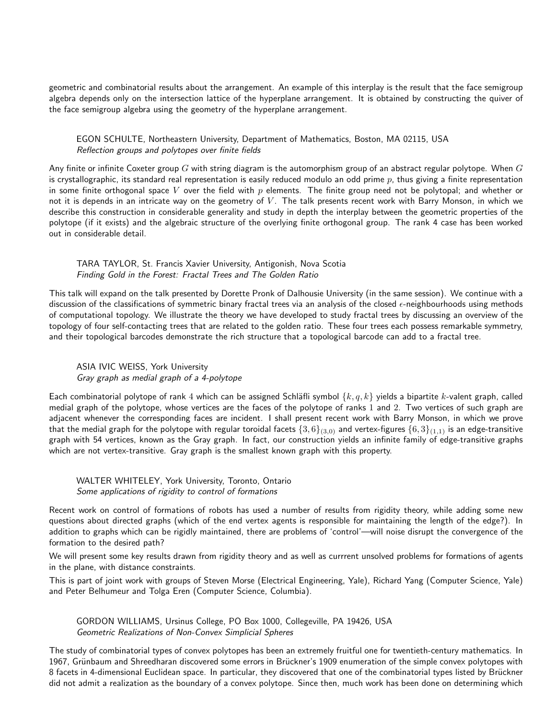geometric and combinatorial results about the arrangement. An example of this interplay is the result that the face semigroup algebra depends only on the intersection lattice of the hyperplane arrangement. It is obtained by constructing the quiver of the face semigroup algebra using the geometry of the hyperplane arrangement.

## EGON SCHULTE, Northeastern University, Department of Mathematics, Boston, MA 02115, USA Reflection groups and polytopes over finite fields

Any finite or infinite Coxeter group G with string diagram is the automorphism group of an abstract regular polytope. When  $G$ is crystallographic, its standard real representation is easily reduced modulo an odd prime  $p$ , thus giving a finite representation in some finite orthogonal space V over the field with  $p$  elements. The finite group need not be polytopal; and whether or not it is depends in an intricate way on the geometry of  $V$ . The talk presents recent work with Barry Monson, in which we describe this construction in considerable generality and study in depth the interplay between the geometric properties of the polytope (if it exists) and the algebraic structure of the overlying finite orthogonal group. The rank 4 case has been worked out in considerable detail.

#### TARA TAYLOR, St. Francis Xavier University, Antigonish, Nova Scotia Finding Gold in the Forest: Fractal Trees and The Golden Ratio

This talk will expand on the talk presented by Dorette Pronk of Dalhousie University (in the same session). We continue with a discussion of the classifications of symmetric binary fractal trees via an analysis of the closed  $\epsilon$ -neighbourhoods using methods of computational topology. We illustrate the theory we have developed to study fractal trees by discussing an overview of the topology of four self-contacting trees that are related to the golden ratio. These four trees each possess remarkable symmetry, and their topological barcodes demonstrate the rich structure that a topological barcode can add to a fractal tree.

## ASIA IVIC WEISS, York University Gray graph as medial graph of a 4-polytope

Each combinatorial polytope of rank 4 which can be assigned Schläfli symbol  $\{k, q, k\}$  yields a bipartite k-valent graph, called medial graph of the polytope, whose vertices are the faces of the polytope of ranks 1 and 2. Two vertices of such graph are adjacent whenever the corresponding faces are incident. I shall present recent work with Barry Monson, in which we prove that the medial graph for the polytope with regular toroidal facets  $\{3,6\}_{(3,0)}$  and vertex-figures  $\{6,3\}_{(1,1)}$  is an edge-transitive graph with 54 vertices, known as the Gray graph. In fact, our construction yields an infinite family of edge-transitive graphs which are not vertex-transitive. Gray graph is the smallest known graph with this property.

## WALTER WHITELEY, York University, Toronto, Ontario Some applications of rigidity to control of formations

Recent work on control of formations of robots has used a number of results from rigidity theory, while adding some new questions about directed graphs (which of the end vertex agents is responsible for maintaining the length of the edge?). In addition to graphs which can be rigidly maintained, there are problems of 'control'—will noise disrupt the convergence of the formation to the desired path?

We will present some key results drawn from rigidity theory and as well as currrent unsolved problems for formations of agents in the plane, with distance constraints.

This is part of joint work with groups of Steven Morse (Electrical Engineering, Yale), Richard Yang (Computer Science, Yale) and Peter Belhumeur and Tolga Eren (Computer Science, Columbia).

GORDON WILLIAMS, Ursinus College, PO Box 1000, Collegeville, PA 19426, USA Geometric Realizations of Non-Convex Simplicial Spheres

The study of combinatorial types of convex polytopes has been an extremely fruitful one for twentieth-century mathematics. In 1967, Grünbaum and Shreedharan discovered some errors in Brückner's 1909 enumeration of the simple convex polytopes with 8 facets in 4-dimensional Euclidean space. In particular, they discovered that one of the combinatorial types listed by Brückner did not admit a realization as the boundary of a convex polytope. Since then, much work has been done on determining which